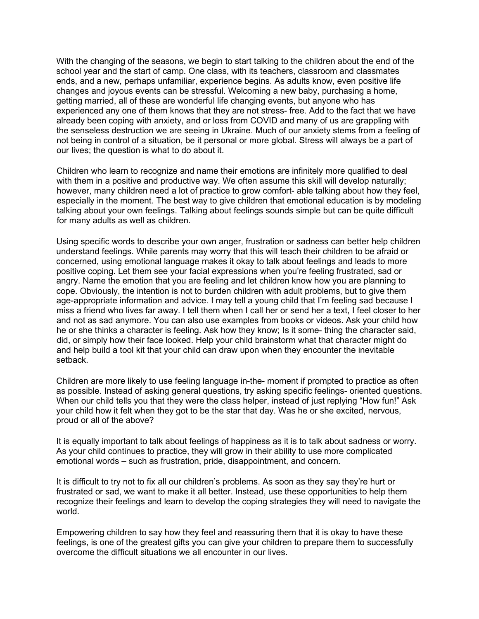With the changing of the seasons, we begin to start talking to the children about the end of the school year and the start of camp. One class, with its teachers, classroom and classmates ends, and a new, perhaps unfamiliar, experience begins. As adults know, even positive life changes and joyous events can be stressful. Welcoming a new baby, purchasing a home, getting married, all of these are wonderful life changing events, but anyone who has experienced any one of them knows that they are not stress- free. Add to the fact that we have already been coping with anxiety, and or loss from COVID and many of us are grappling with the senseless destruction we are seeing in Ukraine. Much of our anxiety stems from a feeling of not being in control of a situation, be it personal or more global. Stress will always be a part of our lives; the question is what to do about it.

Children who learn to recognize and name their emotions are infinitely more qualified to deal with them in a positive and productive way. We often assume this skill will develop naturally; however, many children need a lot of practice to grow comfort- able talking about how they feel, especially in the moment. The best way to give children that emotional education is by modeling talking about your own feelings. Talking about feelings sounds simple but can be quite difficult for many adults as well as children.

Using specific words to describe your own anger, frustration or sadness can better help children understand feelings. While parents may worry that this will teach their children to be afraid or concerned, using emotional language makes it okay to talk about feelings and leads to more positive coping. Let them see your facial expressions when you're feeling frustrated, sad or angry. Name the emotion that you are feeling and let children know how you are planning to cope. Obviously, the intention is not to burden children with adult problems, but to give them age-appropriate information and advice. I may tell a young child that I'm feeling sad because I miss a friend who lives far away. I tell them when I call her or send her a text, I feel closer to her and not as sad anymore. You can also use examples from books or videos. Ask your child how he or she thinks a character is feeling. Ask how they know; Is it some- thing the character said, did, or simply how their face looked. Help your child brainstorm what that character might do and help build a tool kit that your child can draw upon when they encounter the inevitable setback.

Children are more likely to use feeling language in-the- moment if prompted to practice as often as possible. Instead of asking general questions, try asking specific feelings- oriented questions. When our child tells you that they were the class helper, instead of just replying "How fun!" Ask your child how it felt when they got to be the star that day. Was he or she excited, nervous, proud or all of the above?

It is equally important to talk about feelings of happiness as it is to talk about sadness or worry. As your child continues to practice, they will grow in their ability to use more complicated emotional words – such as frustration, pride, disappointment, and concern.

It is difficult to try not to fix all our children's problems. As soon as they say they're hurt or frustrated or sad, we want to make it all better. Instead, use these opportunities to help them recognize their feelings and learn to develop the coping strategies they will need to navigate the world.

Empowering children to say how they feel and reassuring them that it is okay to have these feelings, is one of the greatest gifts you can give your children to prepare them to successfully overcome the difficult situations we all encounter in our lives.